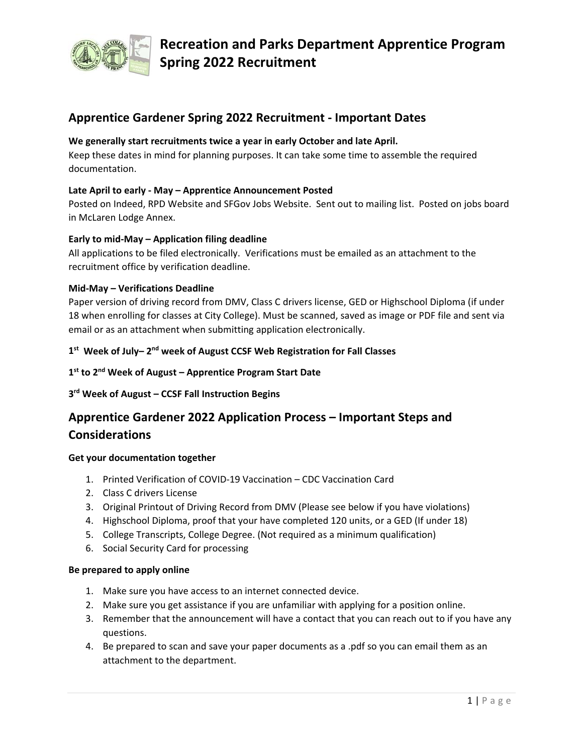

## **Apprentice Gardener Spring 2022 Recruitment ‐ Important Dates**

## **We generally start recruitments twice a year in early October and late April.**

Keep these dates in mind for planning purposes. It can take some time to assemble the required documentation.

## **Late April to early ‐ May – Apprentice Announcement Posted**

Posted on Indeed, RPD Website and SFGov Jobs Website. Sent out to mailing list. Posted on jobs board in McLaren Lodge Annex.

## **Early to mid‐May – Application filing deadline**

All applications to be filed electronically. Verifications must be emailed as an attachment to the recruitment office by verification deadline.

## **Mid‐May – Verifications Deadline**

Paper version of driving record from DMV, Class C drivers license, GED or Highschool Diploma (if under 18 when enrolling for classes at City College). Must be scanned, saved as image or PDF file and sent via email or as an attachment when submitting application electronically.

## 1<sup>st</sup> Week of July-2<sup>nd</sup> week of August CCSF Web Registration for Fall Classes

## **1st to 2nd Week of August – Apprentice Program Start Date**

## **3rd Week of August – CCSF Fall Instruction Begins**

## **Apprentice Gardener 2022 Application Process – Important Steps and Considerations**

## **Get your documentation together**

- 1. Printed Verification of COVID‐19 Vaccination CDC Vaccination Card
- 2. Class C drivers License
- 3. Original Printout of Driving Record from DMV (Please see below if you have violations)
- 4. Highschool Diploma, proof that your have completed 120 units, or a GED (If under 18)
- 5. College Transcripts, College Degree. (Not required as a minimum qualification)
- 6. Social Security Card for processing

## **Be prepared to apply online**

- 1. Make sure you have access to an internet connected device.
- 2. Make sure you get assistance if you are unfamiliar with applying for a position online.
- 3. Remember that the announcement will have a contact that you can reach out to if you have any questions.
- 4. Be prepared to scan and save your paper documents as a .pdf so you can email them as an attachment to the department.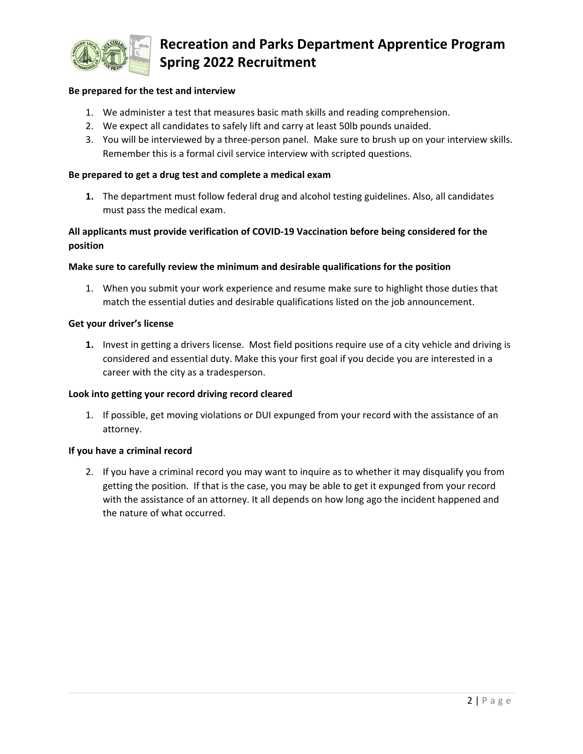

# **Recreation and Parks Department Apprentice Program Spring 2022 Recruitment**

## **Be prepared for the test and interview**

- 1. We administer a test that measures basic math skills and reading comprehension.
- 2. We expect all candidates to safely lift and carry at least 50lb pounds unaided.
- 3. You will be interviewed by a three‐person panel. Make sure to brush up on your interview skills. Remember this is a formal civil service interview with scripted questions.

#### **Be prepared to get a drug test and complete a medical exam**

**1.** The department must follow federal drug and alcohol testing guidelines. Also, all candidates must pass the medical exam.

## **All applicants must provide verification of COVID‐19 Vaccination before being considered for the position**

#### **Make sure to carefully review the minimum and desirable qualifications for the position**

1. When you submit your work experience and resume make sure to highlight those duties that match the essential duties and desirable qualifications listed on the job announcement.

#### **Get your driver's license**

**1.** Invest in getting a drivers license. Most field positions require use of a city vehicle and driving is considered and essential duty. Make this your first goal if you decide you are interested in a career with the city as a tradesperson.

#### **Look into getting your record driving record cleared**

1. If possible, get moving violations or DUI expunged from your record with the assistance of an attorney.

#### **If you have a criminal record**

2. If you have a criminal record you may want to inquire as to whether it may disqualify you from getting the position. If that is the case, you may be able to get it expunged from your record with the assistance of an attorney. It all depends on how long ago the incident happened and the nature of what occurred.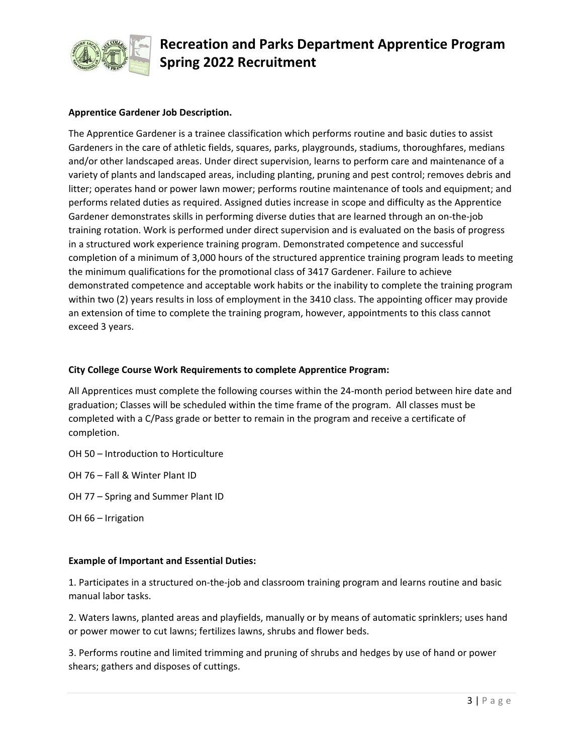

# **Recreation and Parks Department Apprentice Program Spring 2022 Recruitment**

## **Apprentice Gardener Job Description.**

The Apprentice Gardener is a trainee classification which performs routine and basic duties to assist Gardeners in the care of athletic fields, squares, parks, playgrounds, stadiums, thoroughfares, medians and/or other landscaped areas. Under direct supervision, learns to perform care and maintenance of a variety of plants and landscaped areas, including planting, pruning and pest control; removes debris and litter; operates hand or power lawn mower; performs routine maintenance of tools and equipment; and performs related duties as required. Assigned duties increase in scope and difficulty as the Apprentice Gardener demonstrates skills in performing diverse duties that are learned through an on‐the‐job training rotation. Work is performed under direct supervision and is evaluated on the basis of progress in a structured work experience training program. Demonstrated competence and successful completion of a minimum of 3,000 hours of the structured apprentice training program leads to meeting the minimum qualifications for the promotional class of 3417 Gardener. Failure to achieve demonstrated competence and acceptable work habits or the inability to complete the training program within two (2) years results in loss of employment in the 3410 class. The appointing officer may provide an extension of time to complete the training program, however, appointments to this class cannot exceed 3 years.

## **City College Course Work Requirements to complete Apprentice Program:**

All Apprentices must complete the following courses within the 24‐month period between hire date and graduation; Classes will be scheduled within the time frame of the program. All classes must be completed with a C/Pass grade or better to remain in the program and receive a certificate of completion.

OH 50 – Introduction to Horticulture

OH 76 – Fall & Winter Plant ID

OH 77 – Spring and Summer Plant ID

OH 66 – Irrigation

## **Example of Important and Essential Duties:**

1. Participates in a structured on‐the‐job and classroom training program and learns routine and basic manual labor tasks.

2. Waters lawns, planted areas and playfields, manually or by means of automatic sprinklers; uses hand or power mower to cut lawns; fertilizes lawns, shrubs and flower beds.

3. Performs routine and limited trimming and pruning of shrubs and hedges by use of hand or power shears; gathers and disposes of cuttings.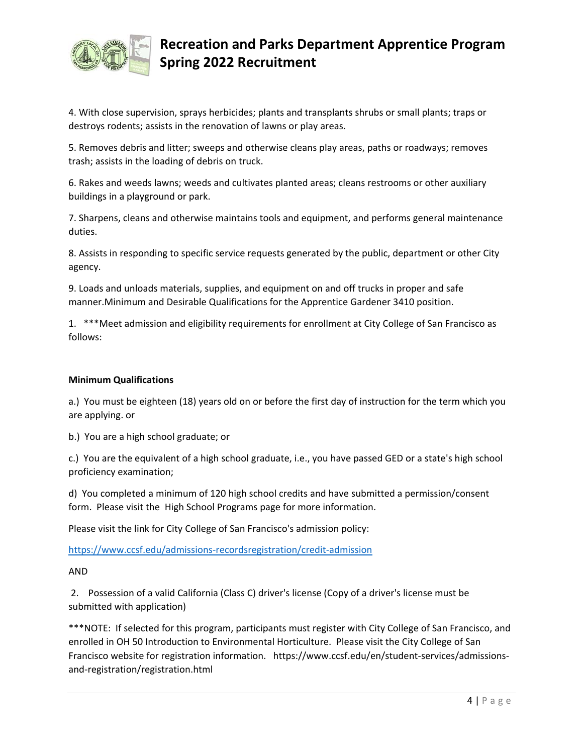

## **Recreation and Parks Department Apprentice Program Spring 2022 Recruitment**

4. With close supervision, sprays herbicides; plants and transplants shrubs or small plants; traps or destroys rodents; assists in the renovation of lawns or play areas.

5. Removes debris and litter; sweeps and otherwise cleans play areas, paths or roadways; removes trash; assists in the loading of debris on truck.

6. Rakes and weeds lawns; weeds and cultivates planted areas; cleans restrooms or other auxiliary buildings in a playground or park.

7. Sharpens, cleans and otherwise maintains tools and equipment, and performs general maintenance duties.

8. Assists in responding to specific service requests generated by the public, department or other City agency.

9. Loads and unloads materials, supplies, and equipment on and off trucks in proper and safe manner.Minimum and Desirable Qualifications for the Apprentice Gardener 3410 position.

1. \*\*\*Meet admission and eligibility requirements for enrollment at City College of San Francisco as follows:

## **Minimum Qualifications**

a.) You must be eighteen (18) years old on or before the first day of instruction for the term which you are applying. or

b.) You are a high school graduate; or

c.) You are the equivalent of a high school graduate, i.e., you have passed GED or a state's high school proficiency examination;

d) You completed a minimum of 120 high school credits and have submitted a permission/consent form. Please visit the High School Programs page for more information.

Please visit the link for City College of San Francisco's admission policy:

https://www.ccsf.edu/admissions‐recordsregistration/credit‐admission

AND

 2. Possession of a valid California (Class C) driver's license (Copy of a driver's license must be submitted with application)

\*\*\*NOTE: If selected for this program, participants must register with City College of San Francisco, and enrolled in OH 50 Introduction to Environmental Horticulture. Please visit the City College of San Francisco website for registration information. https://www.ccsf.edu/en/student‐services/admissions‐ and‐registration/registration.html